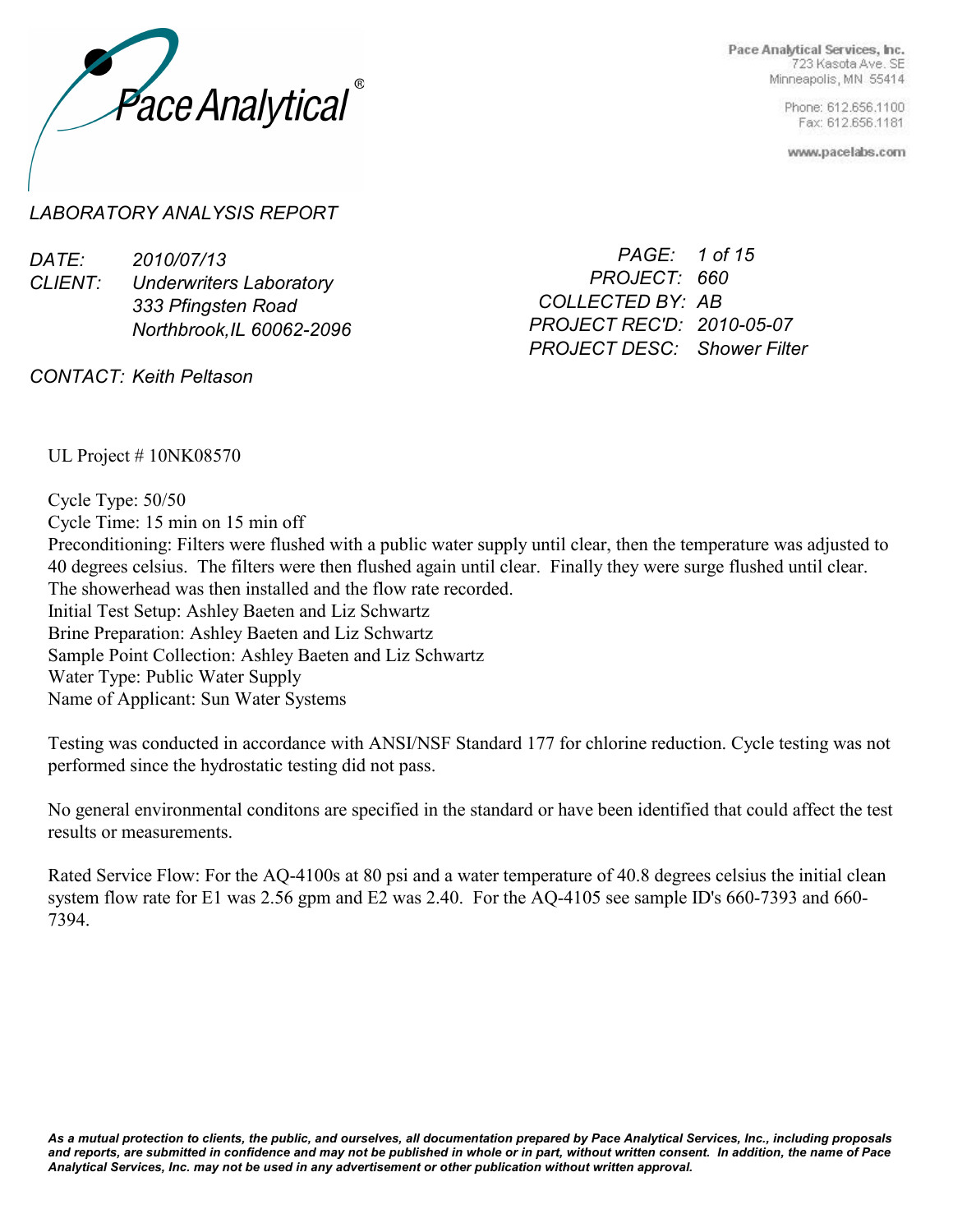

> Phone: 612.656.1100 Fax: 612.656.1181

www.pacelabs.com

## *LABORATORY ANALYSIS REPORT*

| DATE:              | 2010/07/13                     | PAGE: 1 of 15                      |
|--------------------|--------------------------------|------------------------------------|
| <i>CLIENT:</i>     | <b>Underwriters Laboratory</b> | PROJECT: 660                       |
| 333 Pfingsten Road | COLLECTED BY: AB               |                                    |
|                    | Northbrook, IL 60062-2096      | PROJECT REC'D: 2010-05-07          |
|                    |                                | <b>PROJECT DESC:</b> Shower Filter |

*CONTACT: Keith Peltason*

UL Project # 10NK08570

Cycle Type: 50/50 Cycle Time: 15 min on 15 min off Preconditioning: Filters were flushed with a public water supply until clear, then the temperature was adjusted to 40 degrees celsius. The filters were then flushed again until clear. Finally they were surge flushed until clear. The showerhead was then installed and the flow rate recorded. Initial Test Setup: Ashley Baeten and Liz Schwartz Brine Preparation: Ashley Baeten and Liz Schwartz Sample Point Collection: Ashley Baeten and Liz Schwartz Water Type: Public Water Supply Name of Applicant: Sun Water Systems

Testing was conducted in accordance with ANSI/NSF Standard 177 for chlorine reduction. Cycle testing was not performed since the hydrostatic testing did not pass.

No general environmental conditons are specified in the standard or have been identified that could affect the test results or measurements.

Rated Service Flow: For the AQ-4100s at 80 psi and a water temperature of 40.8 degrees celsius the initial clean system flow rate for E1 was 2.56 gpm and E2 was 2.40. For the AQ-4105 see sample ID's 660-7393 and 660- 7394.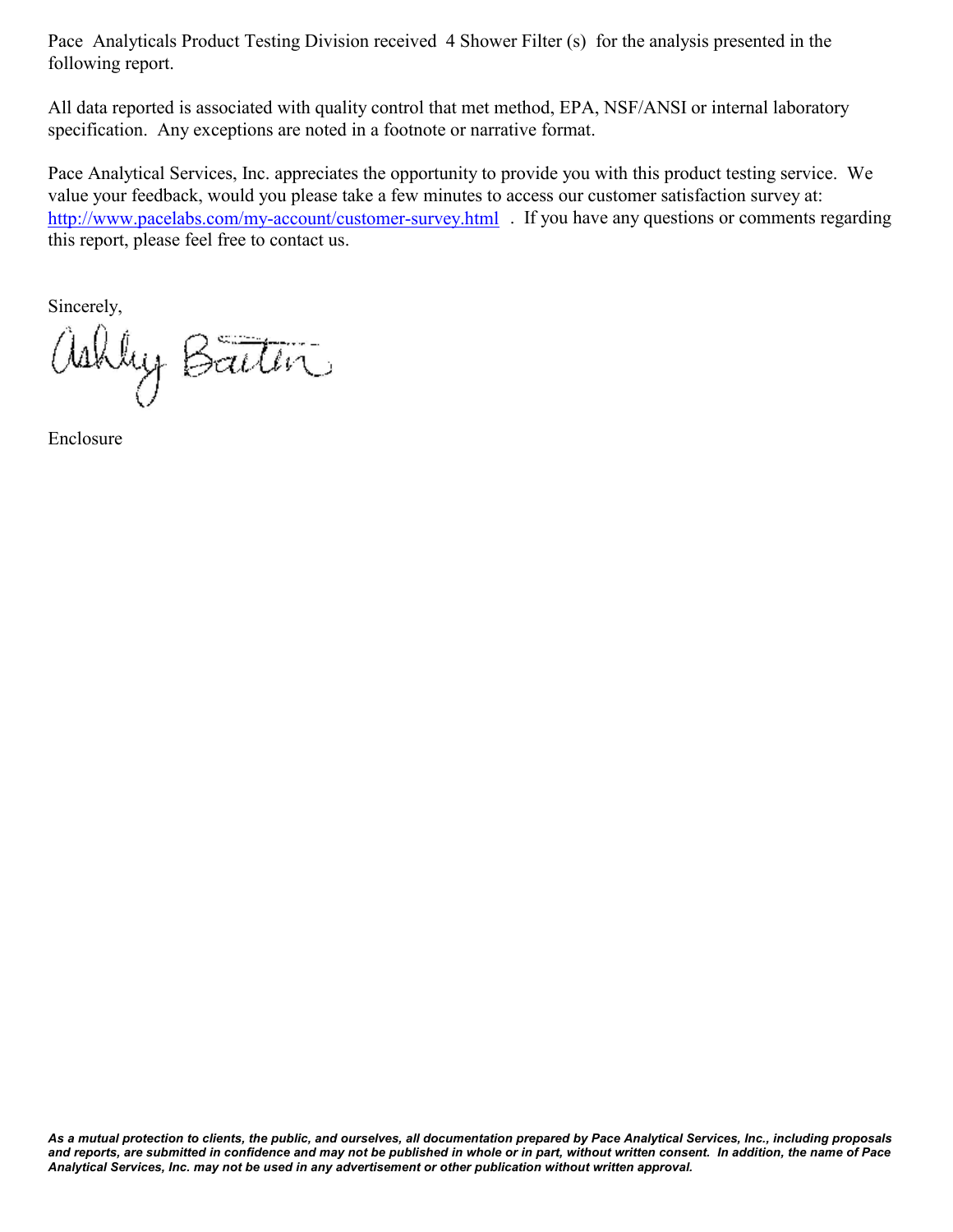Pace Analyticals Product Testing Division received 4 Shower Filter (s) for the analysis presented in the following report.

All data reported is associated with quality control that met method, EPA, NSF/ANSI or internal laboratory specification. Any exceptions are noted in a footnote or narrative format.

Pace Analytical Services, Inc. appreciates the opportunity to provide you with this product testing service. We value your feedback, would you please take a few minutes to access our customer satisfaction survey at: http://www.pacelabs.com/my-account/customer-survey.html Figure 3 or questions or comments regarding this report, please feel free to contact us.

Sincerely,

ashley Baiten

Enclosure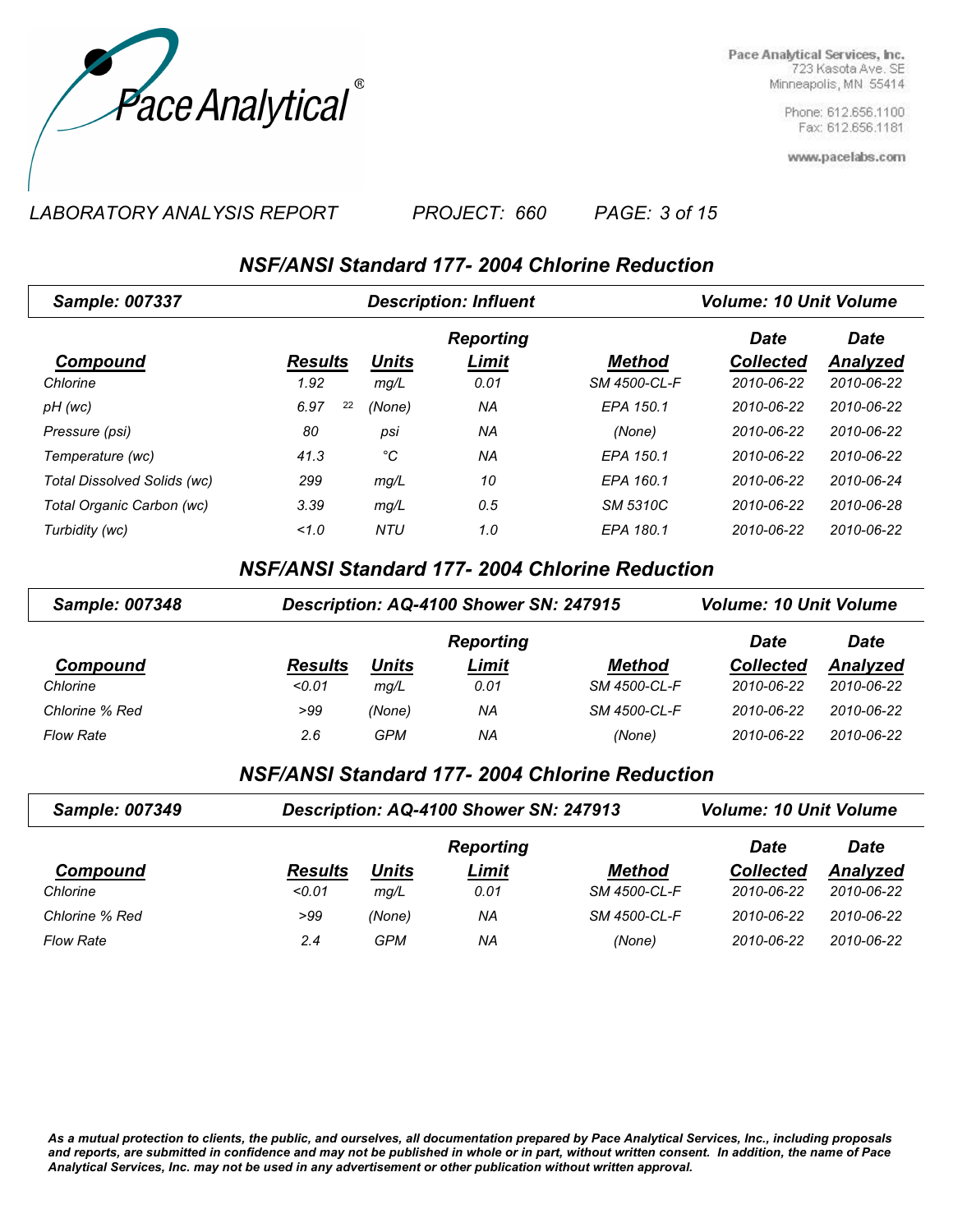

> Phone: 612.656.1100 Fax: 612.656.1181

www.pacelabs.com

*LABORATORY ANALYSIS REPORT PAGE: 3 of 15 PROJECT: 660*

## *NSF/ANSI Standard 177- 2004 Chlorine Reduction*

| <b>Sample: 007337</b>       |                | <b>Description: Influent</b> |                  |               |                  | <b>Volume: 10 Unit Volume</b> |  |  |
|-----------------------------|----------------|------------------------------|------------------|---------------|------------------|-------------------------------|--|--|
|                             |                |                              | <b>Reporting</b> |               | <b>Date</b>      | <b>Date</b>                   |  |  |
| Compound                    | <b>Results</b> | <b>Units</b>                 | Limit            | <b>Method</b> | <b>Collected</b> | <b>Analyzed</b>               |  |  |
| Chlorine                    | 1.92           | mg/L                         | 0.01             | SM 4500-CL-F  | 2010-06-22       | 2010-06-22                    |  |  |
| pH (wc)                     | 22<br>6.97     | (None)                       | ΝA               | EPA 150.1     | 2010-06-22       | 2010-06-22                    |  |  |
| Pressure (psi)              | 80             | psi                          | ΝA               | (None)        | 2010-06-22       | 2010-06-22                    |  |  |
| Temperature (wc)            | 41.3           | °C                           | ΝA               | EPA 150.1     | 2010-06-22       | 2010-06-22                    |  |  |
| Total Dissolved Solids (wc) | 299            | mg/L                         | 10               | EPA 160.1     | 2010-06-22       | 2010-06-24                    |  |  |
| Total Organic Carbon (wc)   | 3.39           | mg/L                         | 0.5              | SM 5310C      | 2010-06-22       | 2010-06-28                    |  |  |
| Turbidity (wc)              | 1.0            | <b>NTU</b>                   | 1.0              | EPA 180.1     | 2010-06-22       | 2010-06-22                    |  |  |

*NSF/ANSI Standard 177- 2004 Chlorine Reduction*

| <b>Sample: 007348</b> | Description: AQ-4100 Shower SN: 247915 |        | <b>Volume: 10 Unit Volume</b> |               |                  |             |
|-----------------------|----------------------------------------|--------|-------------------------------|---------------|------------------|-------------|
|                       |                                        |        | <b>Reporting</b>              |               | <b>Date</b>      | <b>Date</b> |
| <b>Compound</b>       | <b>Results</b>                         | Units  | <u>Limit</u>                  | <b>Method</b> | <b>Collected</b> | Analyzed    |
| Chlorine              | < 0.01                                 | mq/L   | 0.01                          | SM 4500-CL-F  | 2010-06-22       | 2010-06-22  |
| Chlorine % Red        | >99                                    | (None) | ΝA                            | SM 4500-CL-F  | 2010-06-22       | 2010-06-22  |
| <b>Flow Rate</b>      | 2.6                                    | GPM    | ΝA                            | (None)        | 2010-06-22       | 2010-06-22  |

*NSF/ANSI Standard 177- 2004 Chlorine Reduction*

| <b>Sample: 007349</b> | Description: AQ-4100 Shower SN: 247913 |        | <b>Volume: 10 Unit Volume</b> |               |                  |            |
|-----------------------|----------------------------------------|--------|-------------------------------|---------------|------------------|------------|
|                       |                                        |        | <b>Reporting</b>              |               | Date             | Date       |
| Compound              | <b>Results</b>                         | Units  | Limit                         | <b>Method</b> | <b>Collected</b> | Analyzed   |
| Chlorine              | < 0.01                                 | mq/L   | 0.01                          | SM 4500-CL-F  | 2010-06-22       | 2010-06-22 |
| Chlorine % Red        | >99                                    | (None) | ΝA                            | SM 4500-CL-F  | 2010-06-22       | 2010-06-22 |
| <b>Flow Rate</b>      | 2.4                                    | GPM    | ΝA                            | (None)        | 2010-06-22       | 2010-06-22 |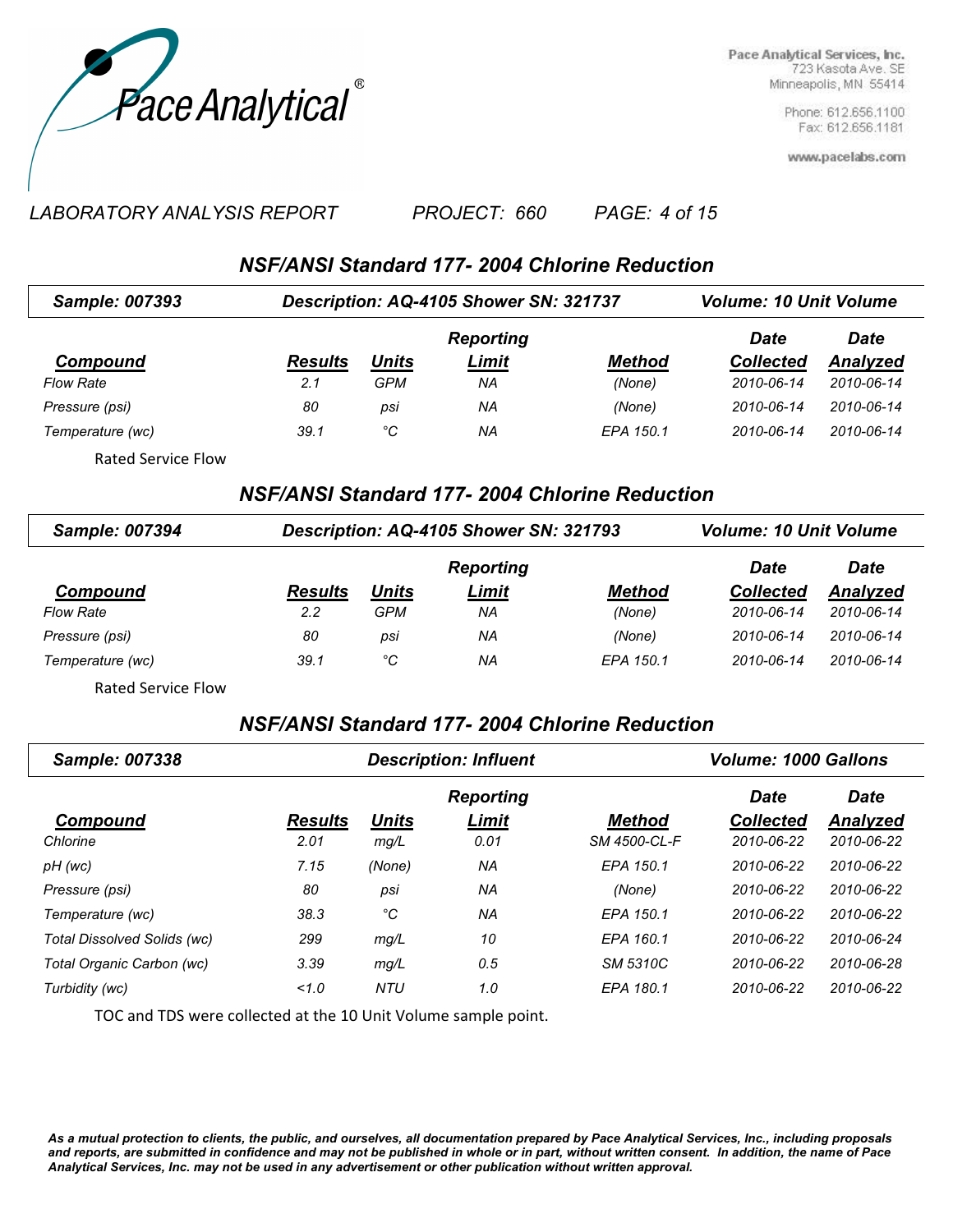

> Phone: 612.656.1100 Fax: 612.656.1181

www.pacelabs.com

### *LABORATORY ANALYSIS REPORT PAGE: 4 of 15 PROJECT: 660*

*NSF/ANSI Standard 177- 2004 Chlorine Reduction*

| <b>Sample: 007393</b> |                | Description: AQ-4105 Shower SN: 321737 | <b>Volume: 10 Unit Volume</b> |               |                  |            |
|-----------------------|----------------|----------------------------------------|-------------------------------|---------------|------------------|------------|
|                       |                |                                        | Date                          | Date          |                  |            |
| Compound              | <b>Results</b> | <b>Units</b>                           | Limit                         | <b>Method</b> | <b>Collected</b> | Analyzed   |
| <b>Flow Rate</b>      | 2.1            | <b>GPM</b>                             | ΝA                            | (None)        | 2010-06-14       | 2010-06-14 |
| Pressure (psi)        | 80             | psi                                    | NA                            | (None)        | 2010-06-14       | 2010-06-14 |
| Temperature (wc)      | 39.1           | °C                                     | ΝA                            | EPA 150.1     | 2010-06-14       | 2010-06-14 |
| Rated Service Flow    |                |                                        |                               |               |                  |            |

### *NSF/ANSI Standard 177- 2004 Chlorine Reduction*

| Sample: 007394   | Description: AQ-4105 Shower SN: 321793 |              | <b>Volume: 10 Unit Volume</b> |               |                  |            |
|------------------|----------------------------------------|--------------|-------------------------------|---------------|------------------|------------|
|                  |                                        |              | <b>Date</b>                   | <b>Date</b>   |                  |            |
| <b>Compound</b>  | <b>Results</b>                         | <u>Units</u> | <b>Limit</b>                  | <b>Method</b> | <b>Collected</b> | Analyzed   |
| <b>Flow Rate</b> | 2.2                                    | GPM          | ΝA                            | (None)        | 2010-06-14       | 2010-06-14 |
| Pressure (psi)   | 80                                     | psi          | NA                            | (None)        | 2010-06-14       | 2010-06-14 |
| Temperature (wc) | 39.1                                   | °C           | ΝA                            | EPA 150.1     | 2010-06-14       | 2010-06-14 |
| - - - - -        |                                        |              |                               |               |                  |            |

Rated Service Flow

## *NSF/ANSI Standard 177- 2004 Chlorine Reduction*

| Sample: 007338              |                | <b>Description: Influent</b> | <b>Volume: 1000 Gallons</b> |                 |                  |             |
|-----------------------------|----------------|------------------------------|-----------------------------|-----------------|------------------|-------------|
|                             |                |                              | <b>Reporting</b>            |                 | <b>Date</b>      | <b>Date</b> |
| <b>Compound</b>             | <b>Results</b> | <u>Units</u>                 | <u>Limit</u>                | <b>Method</b>   | <b>Collected</b> | Analyzed    |
| Chlorine                    | 2.01           | mg/L                         | 0.01                        | SM 4500-CL-F    | 2010-06-22       | 2010-06-22  |
| pH (wc)                     | 7.15           | (None)                       | NA                          | EPA 150.1       | 2010-06-22       | 2010-06-22  |
| Pressure (psi)              | 80             | psi                          | NA                          | (None)          | 2010-06-22       | 2010-06-22  |
| Temperature (wc)            | 38.3           | °C                           | NA                          | EPA 150.1       | 2010-06-22       | 2010-06-22  |
| Total Dissolved Solids (wc) | 299            | mg/L                         | 10                          | EPA 160.1       | 2010-06-22       | 2010-06-24  |
| Total Organic Carbon (wc)   | 3.39           | mg/L                         | 0.5                         | <b>SM 5310C</b> | 2010-06-22       | 2010-06-28  |
| Turbidity (wc)              | 1.0            | NTU                          | 1.0                         | EPA 180.1       | 2010-06-22       | 2010-06-22  |

TOC and TDS were collected at the 10 Unit Volume sample point.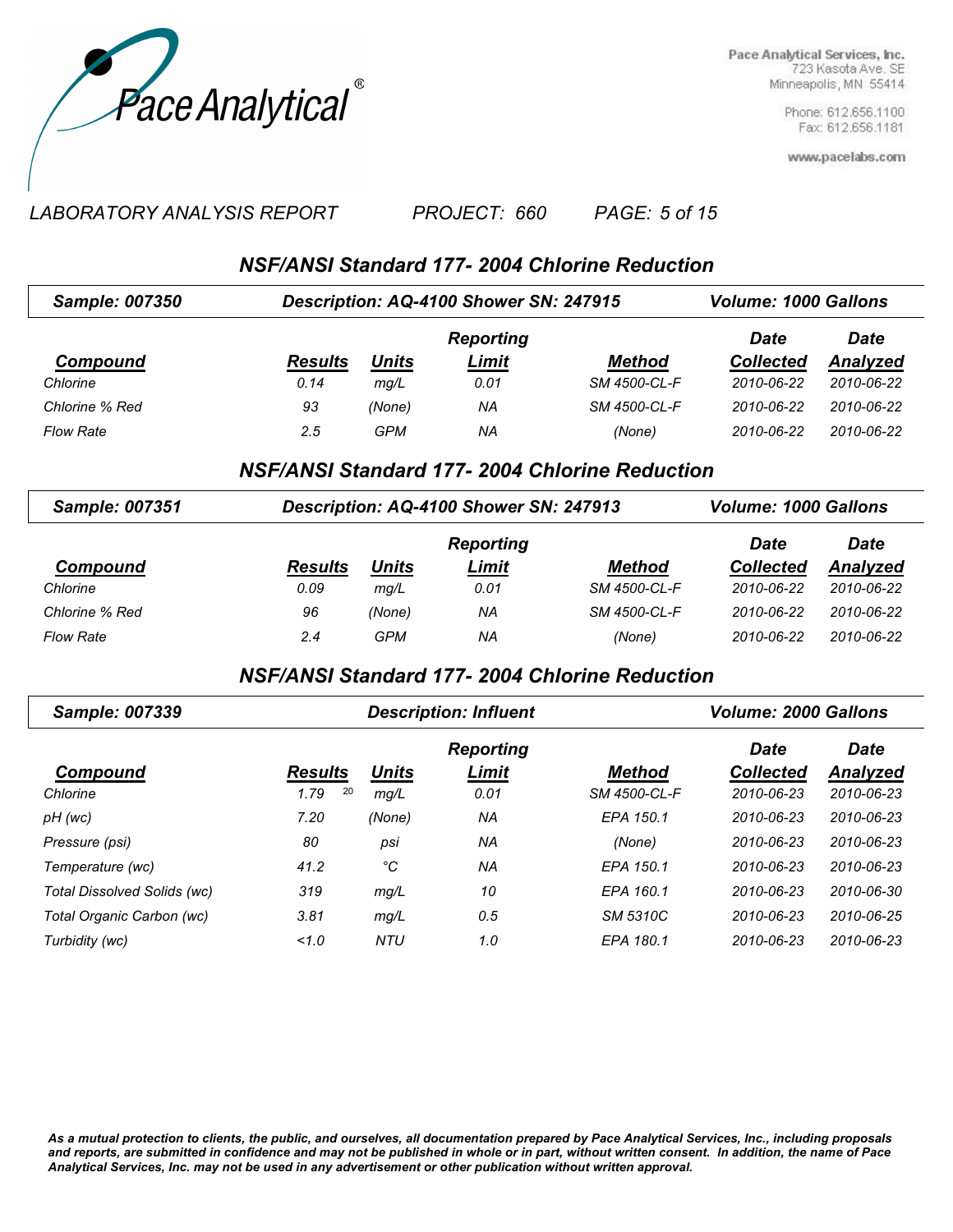

> Phone: 612.656.1100 Fax: 612.656.1181

www.pacelabs.com

#### *LABORATORY ANALYSIS REPORT PAGE: 5 of 15 PROJECT: 660*

*NSF/ANSI Standard 177- 2004 Chlorine Reduction*

| <b>Sample: 007350</b> | Description: AQ-4100 Shower SN: 247915 |            | <b>Volume: 1000 Gallons</b> |               |                  |                 |
|-----------------------|----------------------------------------|------------|-----------------------------|---------------|------------------|-----------------|
|                       |                                        |            | <b>Reporting</b>            |               | Date             | <b>Date</b>     |
| Compound              | <b>Results</b>                         | Units      | <b>Limit</b>                | <b>Method</b> | <b>Collected</b> | <b>Analyzed</b> |
| Chlorine              | 0.14                                   | mq/L       | 0.01                        | SM 4500-CL-F  | 2010-06-22       | 2010-06-22      |
| Chlorine % Red        | 93                                     | (None)     | ΝA                          | SM 4500-CL-F  | 2010-06-22       | 2010-06-22      |
| <b>Flow Rate</b>      | 2.5                                    | <b>GPM</b> | ΝA                          | (None)        | 2010-06-22       | 2010-06-22      |

## *NSF/ANSI Standard 177- 2004 Chlorine Reduction*

| Sample: 007351   | Description: AQ-4100 Shower SN: 247913 | <b>Volume: 1000 Gallons</b> |                  |              |                  |            |
|------------------|----------------------------------------|-----------------------------|------------------|--------------|------------------|------------|
|                  |                                        |                             | <b>Reporting</b> |              | Date             | Date       |
| Compound         | <b>Results</b>                         | Units                       | Limit            | Method       | <b>Collected</b> | Analyzed   |
| Chlorine         | 0.09                                   | mq/L                        | 0.01             | SM 4500-CL-F | 2010-06-22       | 2010-06-22 |
| Chlorine % Red   | 96                                     | (None)                      | ΝA               | SM 4500-CL-F | 2010-06-22       | 2010-06-22 |
| <b>Flow Rate</b> | 2.4                                    | GPM                         | ΝA               | (None)       | 2010-06-22       | 2010-06-22 |

## *NSF/ANSI Standard 177- 2004 Chlorine Reduction*

| <b>Sample: 007339</b>       |                | <b>Description: Influent</b> | <b>Volume: 2000 Gallons</b> |               |                  |             |
|-----------------------------|----------------|------------------------------|-----------------------------|---------------|------------------|-------------|
|                             |                |                              | <b>Reporting</b>            |               | <b>Date</b>      | <b>Date</b> |
| Compound                    | <b>Results</b> | <b>Units</b>                 | Limit                       | <b>Method</b> | <b>Collected</b> | Analyzed    |
| Chlorine                    | 20<br>1.79     | mg/L                         | 0.01                        | SM 4500-CL-F  | 2010-06-23       | 2010-06-23  |
| pH (wc)                     | 7.20           | (None)                       | NA                          | EPA 150.1     | 2010-06-23       | 2010-06-23  |
| Pressure (psi)              | 80             | psi                          | ΝA                          | (None)        | 2010-06-23       | 2010-06-23  |
| Temperature (wc)            | 41.2           | °C                           | ΝA                          | EPA 150.1     | 2010-06-23       | 2010-06-23  |
| Total Dissolved Solids (wc) | 319            | mq/L                         | 10                          | EPA 160.1     | $2010 - 06 - 23$ | 2010-06-30  |
| Total Organic Carbon (wc)   | 3.81           | mg/L                         | 0.5                         | SM 5310C      | 2010-06-23       | 2010-06-25  |
| Turbidity (wc)              | 1.0            | <b>NTU</b>                   | 1.0                         | EPA 180.1     | 2010-06-23       | 2010-06-23  |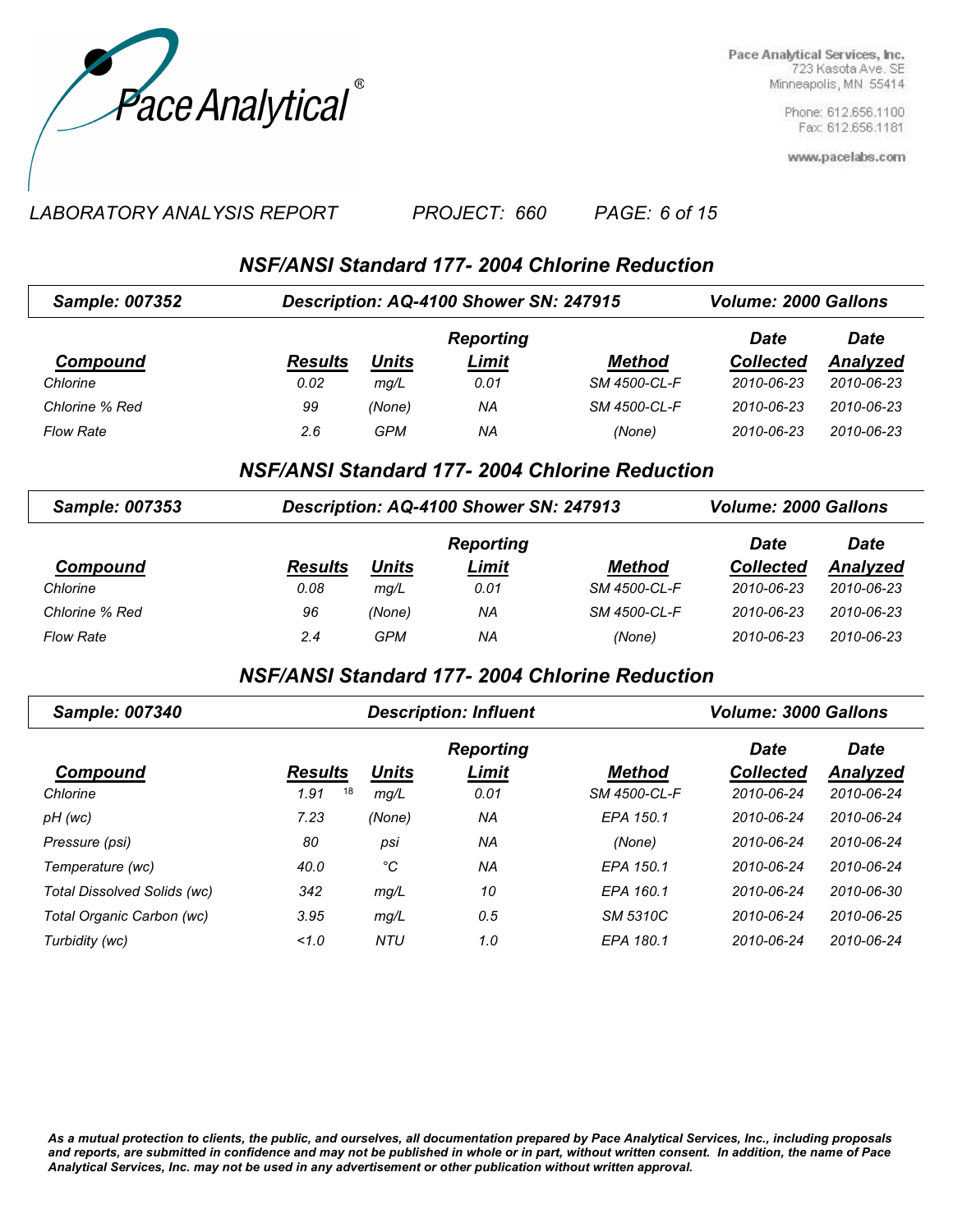

> Phone: 612.656.1100 Fax: 612.656.1181

www.pacelabs.com

#### *LABORATORY ANALYSIS REPORT PAGE: 6 of 15 PROJECT: 660*

*NSF/ANSI Standard 177- 2004 Chlorine Reduction*

| <b>Sample: 007352</b> | Description: AQ-4100 Shower SN: 247915 |              | <b>Volume: 2000 Gallons</b> |               |                  |                 |
|-----------------------|----------------------------------------|--------------|-----------------------------|---------------|------------------|-----------------|
|                       |                                        |              | <b>Reporting</b>            |               | Date             | <b>Date</b>     |
| Compound              | <b>Results</b>                         | <u>Units</u> | <u>Limit</u>                | <b>Method</b> | <b>Collected</b> | <b>Analyzed</b> |
| Chlorine              | 0.02                                   | mq/L         | 0.01                        | SM 4500-CL-F  | 2010-06-23       | 2010-06-23      |
| Chlorine % Red        | 99                                     | (None)       | ΝA                          | SM 4500-CL-F  | 2010-06-23       | 2010-06-23      |
| <b>Flow Rate</b>      | 2.6                                    | GPM          | ΝA                          | (None)        | 2010-06-23       | 2010-06-23      |

### *NSF/ANSI Standard 177- 2004 Chlorine Reduction*

| <b>Sample: 007353</b> | Description: AQ-4100 Shower SN: 247913 |        | <b>Volume: 2000 Gallons</b> |              |                  |            |
|-----------------------|----------------------------------------|--------|-----------------------------|--------------|------------------|------------|
|                       |                                        |        | <b>Reporting</b>            |              | <b>Date</b>      | Date       |
| Compound              | <b>Results</b>                         | Units  | Limit                       | Method       | <b>Collected</b> | Analyzed   |
| Chlorine              | 0.08                                   | mq/L   | 0.01                        | SM 4500-CL-F | 2010-06-23       | 2010-06-23 |
| Chlorine % Red        | 96                                     | (None) | ΝA                          | SM 4500-CL-F | $2010 - 06 - 23$ | 2010-06-23 |
| <b>Flow Rate</b>      | 2.4                                    | GPM    | ΝA                          | (None)       | 2010-06-23       | 2010-06-23 |

## *NSF/ANSI Standard 177- 2004 Chlorine Reduction*

| <b>Sample: 007340</b>       |                | <b>Description: Influent</b> | <b>Volume: 3000 Gallons</b> |                 |                  |                 |
|-----------------------------|----------------|------------------------------|-----------------------------|-----------------|------------------|-----------------|
|                             |                |                              | <b>Reporting</b>            |                 | <b>Date</b>      | <b>Date</b>     |
| Compound                    | <b>Results</b> | <b>Units</b>                 | Limit                       | <b>Method</b>   | <b>Collected</b> | <b>Analyzed</b> |
| Chlorine                    | 18<br>1.91     | mg/L                         | 0.01                        | SM 4500-CL-F    | 2010-06-24       | 2010-06-24      |
| pH (wc)                     | 7.23           | (None)                       | NA                          | EPA 150.1       | 2010-06-24       | 2010-06-24      |
| Pressure (psi)              | 80             | psi                          | NA                          | (None)          | 2010-06-24       | 2010-06-24      |
| Temperature (wc)            | 40.0           | °C                           | NA                          | EPA 150.1       | 2010-06-24       | 2010-06-24      |
| Total Dissolved Solids (wc) | 342            | mg/L                         | 10                          | EPA 160.1       | 2010-06-24       | 2010-06-30      |
| Total Organic Carbon (wc)   | 3.95           | mg/L                         | 0.5                         | <b>SM 5310C</b> | 2010-06-24       | 2010-06-25      |
| Turbidity (wc)              | 1.0            | NTU                          | 1.0                         | EPA 180.1       | 2010-06-24       | 2010-06-24      |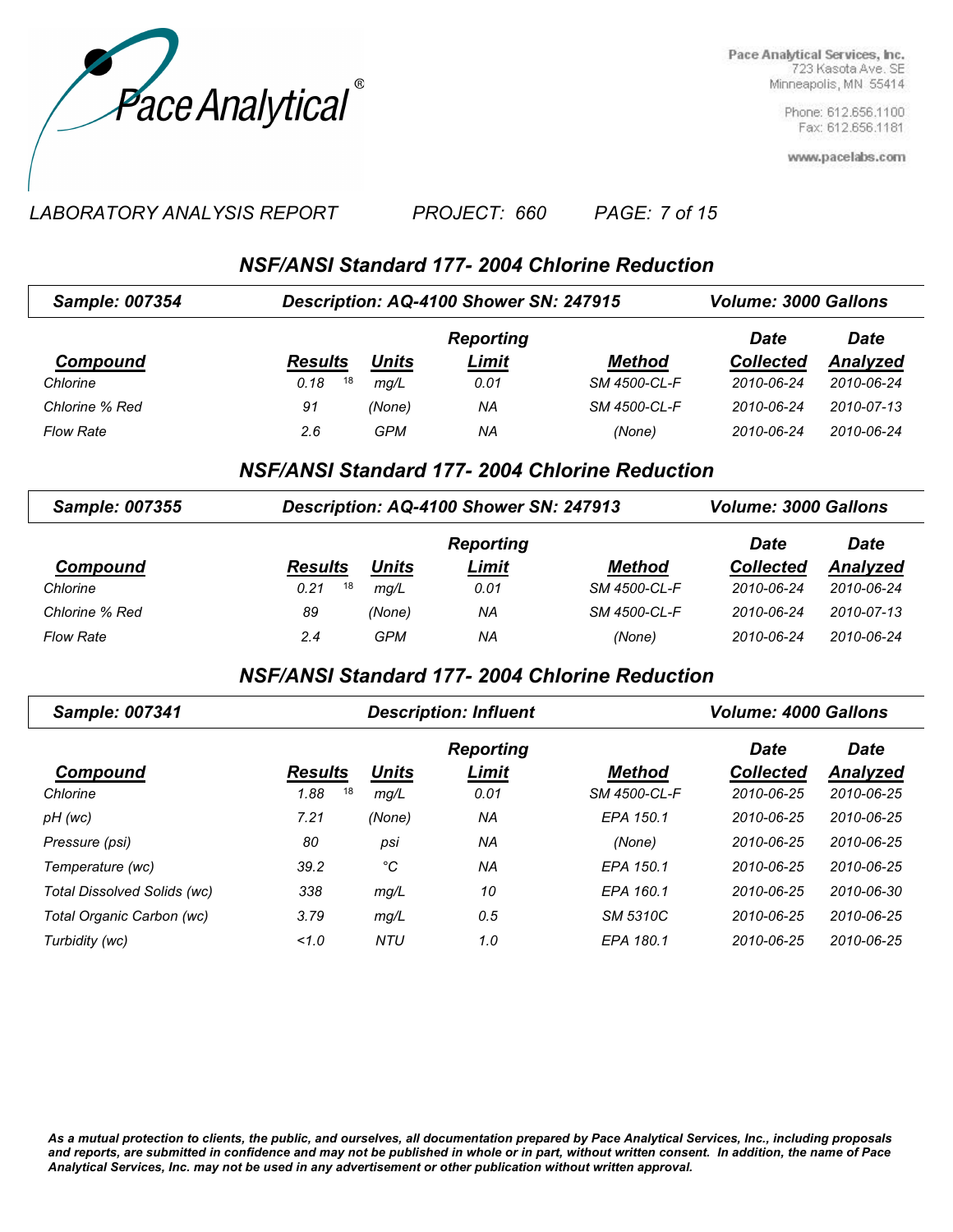

> Phone: 612.656.1100 Fax: 612.656.1181

www.pacelabs.com

#### *LABORATORY ANALYSIS REPORT PAGE: 7 of 15 PROJECT: 660*

*NSF/ANSI Standard 177- 2004 Chlorine Reduction*

| <b>Sample: 007354</b> | Description: AQ-4100 Shower SN: 247915 |              | <b>Volume: 3000 Gallons</b> |               |                  |            |
|-----------------------|----------------------------------------|--------------|-----------------------------|---------------|------------------|------------|
|                       |                                        |              | <b>Reporting</b>            |               | <b>Date</b>      | Date       |
| Compound              | <b>Results</b>                         | <u>Units</u> | <u>Limit</u>                | <b>Method</b> | <b>Collected</b> | Analyzed   |
| Chlorine              | 18<br>0.18                             | ma/L         | 0.01                        | SM 4500-CL-F  | 2010-06-24       | 2010-06-24 |
| Chlorine % Red        | 91                                     | (None)       | ΝA                          | SM 4500-CL-F  | 2010-06-24       | 2010-07-13 |
| <b>Flow Rate</b>      | 2.6                                    | GPM          | ΝA                          | (None)        | 2010-06-24       | 2010-06-24 |

### *NSF/ANSI Standard 177- 2004 Chlorine Reduction*

| Sample: 007355   | Description: AQ-4100 Shower SN: 247913 |        | <b>Volume: 3000 Gallons</b> |              |                  |            |
|------------------|----------------------------------------|--------|-----------------------------|--------------|------------------|------------|
|                  |                                        |        | <b>Reporting</b>            |              | Date             | Date       |
| Compound         | <b>Results</b>                         | Units  | Limit                       | Method       | <b>Collected</b> | Analyzed   |
| Chlorine         | 18<br>0.21                             | mq/L   | 0.01                        | SM 4500-CL-F | 2010-06-24       | 2010-06-24 |
| Chlorine % Red   | 89                                     | (None) | ΝA                          | SM 4500-CL-F | 2010-06-24       | 2010-07-13 |
| <b>Flow Rate</b> | 2.4                                    | GPM    | ΝA                          | (None)       | 2010-06-24       | 2010-06-24 |

## *NSF/ANSI Standard 177- 2004 Chlorine Reduction*

| <b>Sample: 007341</b>       |                | <b>Description: Influent</b> | <b>Volume: 4000 Gallons</b> |               |                  |             |
|-----------------------------|----------------|------------------------------|-----------------------------|---------------|------------------|-------------|
|                             |                |                              | <b>Reporting</b>            |               | <b>Date</b>      | <b>Date</b> |
| Compound                    | <b>Results</b> | <b>Units</b>                 | Limit                       | <b>Method</b> | <b>Collected</b> | Analyzed    |
| Chlorine                    | 18<br>1.88     | mg/L                         | 0.01                        | SM 4500-CL-F  | 2010-06-25       | 2010-06-25  |
| pH (wc)                     | 7.21           | (None)                       | ΝA                          | EPA 150.1     | 2010-06-25       | 2010-06-25  |
| Pressure (psi)              | 80             | psi                          | ΝA                          | (None)        | 2010-06-25       | 2010-06-25  |
| Temperature (wc)            | 39.2           | °C                           | ΝA                          | EPA 150.1     | 2010-06-25       | 2010-06-25  |
| Total Dissolved Solids (wc) | 338            | mg/L                         | 10                          | EPA 160.1     | 2010-06-25       | 2010-06-30  |
| Total Organic Carbon (wc)   | 3.79           | mg/L                         | 0.5                         | SM 5310C      | 2010-06-25       | 2010-06-25  |
| Turbidity (wc)              | 1.0            | <b>NTU</b>                   | 1.0                         | EPA 180.1     | 2010-06-25       | 2010-06-25  |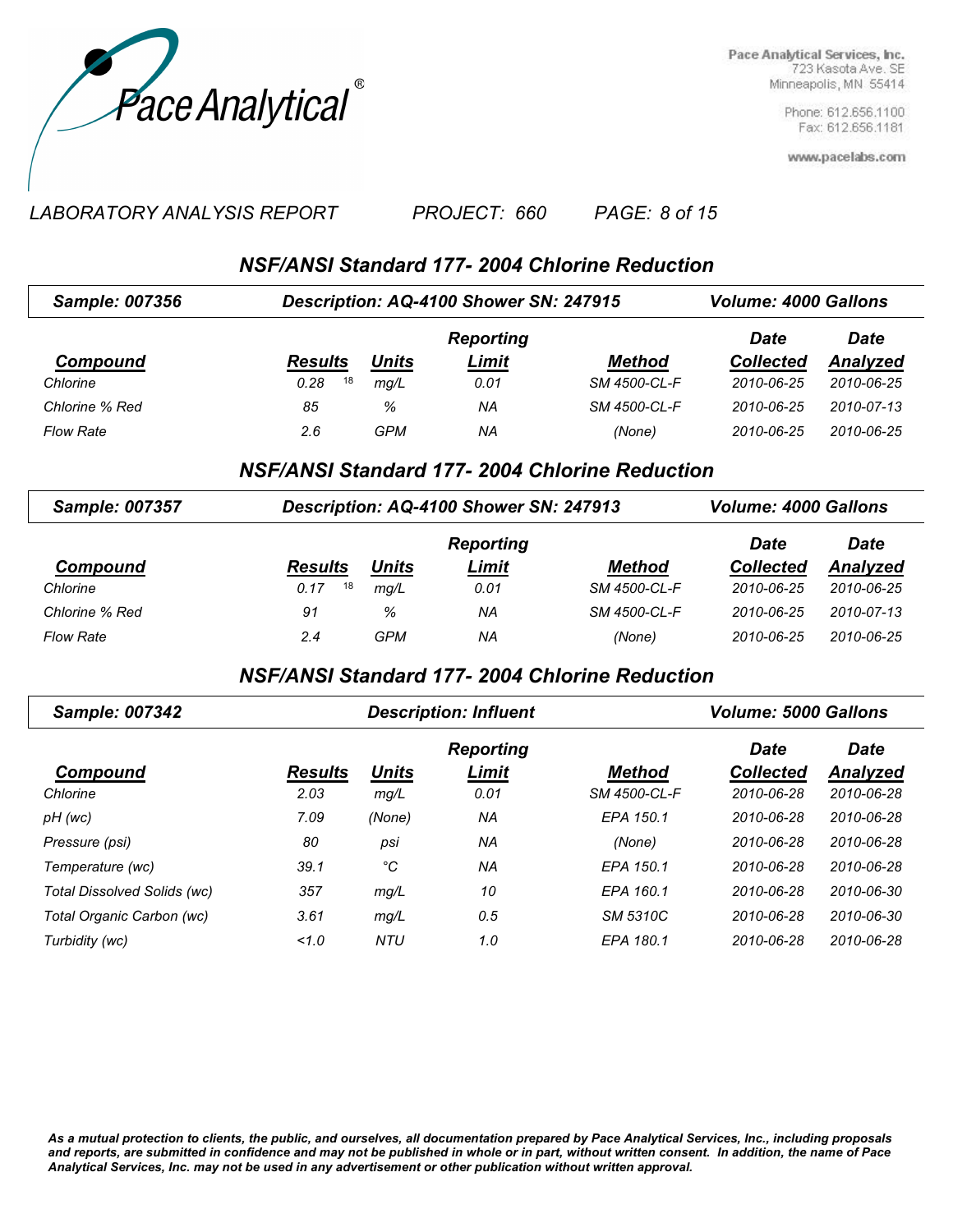

> Phone: 612.656.1100 Fax: 612.656.1181

www.pacelabs.com

#### *LABORATORY ANALYSIS REPORT PAGE: 8 of 15 PROJECT: 660*

*NSF/ANSI Standard 177- 2004 Chlorine Reduction*

| <b>Sample: 007356</b> | Description: AQ-4100 Shower SN: 247915 |              | <b>Volume: 4000 Gallons</b> |               |                  |                 |
|-----------------------|----------------------------------------|--------------|-----------------------------|---------------|------------------|-----------------|
|                       |                                        |              | <b>Reporting</b>            |               | <b>Date</b>      | <b>Date</b>     |
| Compound              | <b>Results</b>                         | <b>Units</b> | <u>Limit</u>                | <b>Method</b> | <b>Collected</b> | <b>Analyzed</b> |
| Chlorine              | 18<br>0.28                             | mq/L         | 0.01                        | SM 4500-CL-F  | 2010-06-25       | 2010-06-25      |
| Chlorine % Red        | 85                                     | %            | ΝA                          | SM 4500-CL-F  | 2010-06-25       | 2010-07-13      |
| <b>Flow Rate</b>      | 2.6                                    | GPM          | ΝA                          | (None)        | 2010-06-25       | 2010-06-25      |

### *NSF/ANSI Standard 177- 2004 Chlorine Reduction*

| <b>Sample: 007357</b> | Description: AQ-4100 Shower SN: 247913 |       | <b>Volume: 4000 Gallons</b> |               |                  |            |
|-----------------------|----------------------------------------|-------|-----------------------------|---------------|------------------|------------|
|                       |                                        |       | <b>Reporting</b>            |               | <b>Date</b>      | Date       |
| Compound              | <b>Results</b>                         | Units | Limit                       | <b>Method</b> | <b>Collected</b> | Analyzed   |
| Chlorine              | 18<br>0.17                             | mq/L  | 0.01                        | SM 4500-CL-F  | 2010-06-25       | 2010-06-25 |
| Chlorine % Red        | 91                                     | %     | ΝA                          | SM 4500-CL-F  | 2010-06-25       | 2010-07-13 |
| <b>Flow Rate</b>      | 2.4                                    | GPM   | ΝA                          | (None)        | 2010-06-25       | 2010-06-25 |

# *NSF/ANSI Standard 177- 2004 Chlorine Reduction*

| Sample: 007342              | <b>Description: Influent</b> |              |                  | <b>Volume: 5000 Gallons</b> |                  |                 |
|-----------------------------|------------------------------|--------------|------------------|-----------------------------|------------------|-----------------|
|                             |                              |              | <b>Reporting</b> |                             | <b>Date</b>      | <b>Date</b>     |
| Compound                    | <b>Results</b>               | <b>Units</b> | Limit            | <b>Method</b>               | <b>Collected</b> | <b>Analyzed</b> |
| Chlorine                    | 2.03                         | mg/L         | 0.01             | SM 4500-CL-F                | 2010-06-28       | 2010-06-28      |
| pH (wc)                     | 7.09                         | (None)       | NA               | EPA 150.1                   | 2010-06-28       | 2010-06-28      |
| Pressure (psi)              | 80                           | psi          | NA               | (None)                      | 2010-06-28       | 2010-06-28      |
| Temperature (wc)            | 39.1                         | °C           | NA               | EPA 150.1                   | 2010-06-28       | 2010-06-28      |
| Total Dissolved Solids (wc) | 357                          | mg/L         | 10               | EPA 160.1                   | 2010-06-28       | 2010-06-30      |
| Total Organic Carbon (wc)   | 3.61                         | mg/L         | 0.5              | <b>SM 5310C</b>             | 2010-06-28       | 2010-06-30      |
| Turbidity (wc)              | 1.0                          | <b>NTU</b>   | 1.0              | EPA 180.1                   | 2010-06-28       | 2010-06-28      |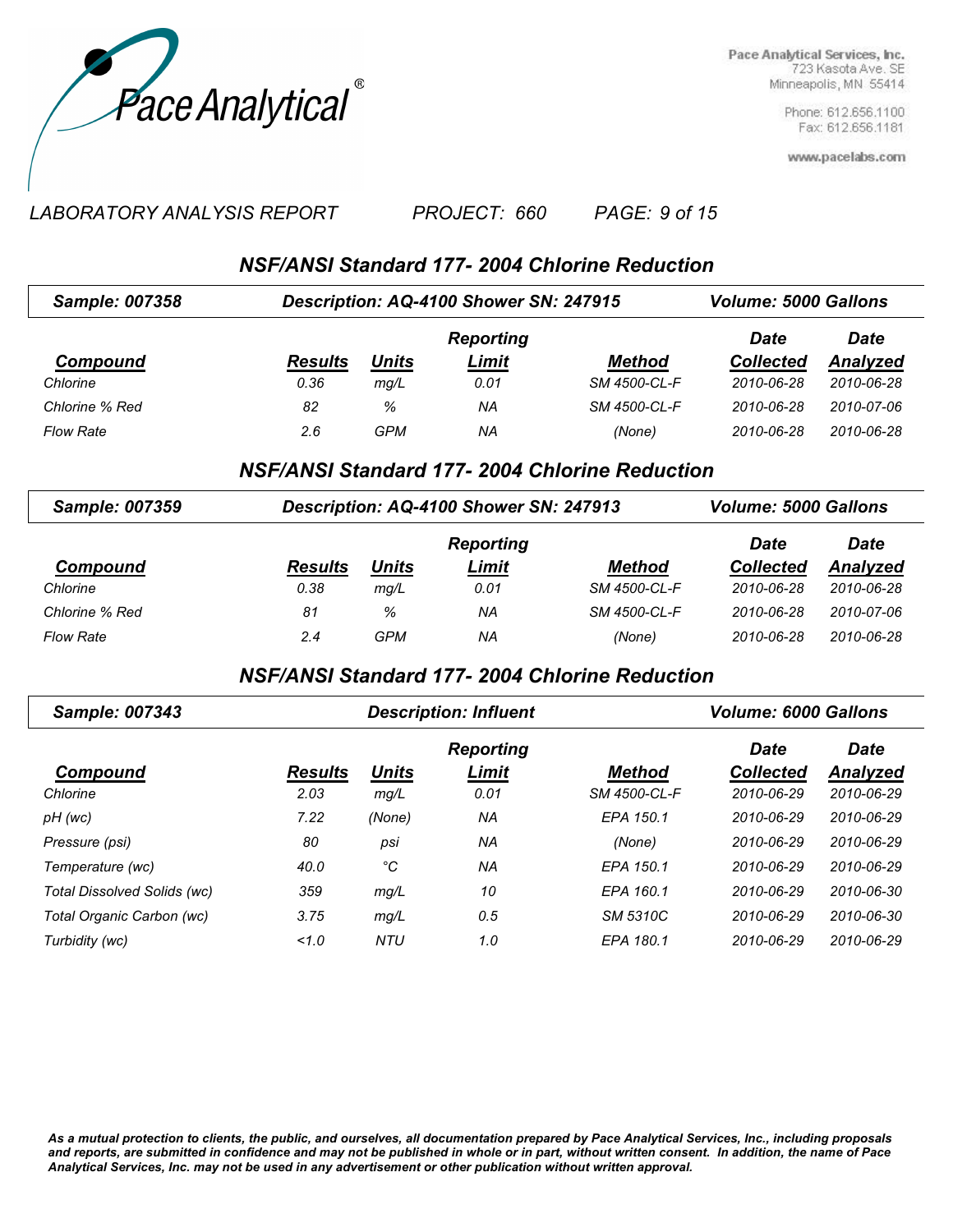

> Phone: 612.656.1100 Fax: 612.656.1181

www.pacelabs.com

#### *LABORATORY ANALYSIS REPORT PAGE: 9 of 15 PROJECT: 660*

# *NSF/ANSI Standard 177- 2004 Chlorine Reduction*

| <b>Sample: 007358</b> | Description: AQ-4100 Shower SN: 247915 |              | <b>Volume: 5000 Gallons</b> |               |                  |             |
|-----------------------|----------------------------------------|--------------|-----------------------------|---------------|------------------|-------------|
|                       |                                        |              | <b>Reporting</b>            |               | Date             | <b>Date</b> |
| Compound              | <b>Results</b>                         | <u>Units</u> | <u>Limit</u>                | <b>Method</b> | <b>Collected</b> | Analyzed    |
| Chlorine              | 0.36                                   | mq/L         | 0.01                        | SM 4500-CL-F  | 2010-06-28       | 2010-06-28  |
| Chlorine % Red        | 82                                     | %            | NA                          | SM 4500-CL-F  | 2010-06-28       | 2010-07-06  |
| <b>Flow Rate</b>      | 2.6                                    | GPM          | ΝA                          | (None)        | 2010-06-28       | 2010-06-28  |

#### *NSF/ANSI Standard 177- 2004 Chlorine Reduction*

| <b>Sample: 007359</b> | Description: AQ-4100 Shower SN: 247913 |              | <b>Volume: 5000 Gallons</b> |               |                  |                 |
|-----------------------|----------------------------------------|--------------|-----------------------------|---------------|------------------|-----------------|
|                       |                                        |              | <b>Reporting</b>            |               | Date             | <b>Date</b>     |
| Compound              | <b>Results</b>                         | <b>Units</b> | Limit                       | <b>Method</b> | <b>Collected</b> | <b>Analyzed</b> |
| Chlorine              | 0.38                                   | mq/L         | 0.01                        | SM 4500-CL-F  | 2010-06-28       | 2010-06-28      |
| Chlorine % Red        | 81                                     | %            | ΝA                          | SM 4500-CL-F  | 2010-06-28       | 2010-07-06      |
| <b>Flow Rate</b>      | 2.4                                    | GPM          | ΝA                          | (None)        | 2010-06-28       | 2010-06-28      |

### *NSF/ANSI Standard 177- 2004 Chlorine Reduction*

| <b>Sample: 007343</b>       |                | <b>Description: Influent</b> | <b>Volume: 6000 Gallons</b> |                 |                  |                 |
|-----------------------------|----------------|------------------------------|-----------------------------|-----------------|------------------|-----------------|
|                             |                |                              | <b>Reporting</b>            |                 | <b>Date</b>      | <b>Date</b>     |
| Compound                    | <b>Results</b> | <b>Units</b>                 | Limit                       | <b>Method</b>   | <b>Collected</b> | <b>Analyzed</b> |
| Chlorine                    | 2.03           | mg/L                         | 0.01                        | SM 4500-CL-F    | 2010-06-29       | 2010-06-29      |
| pH (wc)                     | 7.22           | (None)                       | NA                          | EPA 150.1       | 2010-06-29       | 2010-06-29      |
| Pressure (psi)              | 80             | psi                          | NA                          | (None)          | 2010-06-29       | 2010-06-29      |
| Temperature (wc)            | 40.0           | °C                           | NA                          | EPA 150.1       | 2010-06-29       | 2010-06-29      |
| Total Dissolved Solids (wc) | 359            | mg/L                         | 10                          | EPA 160.1       | 2010-06-29       | 2010-06-30      |
| Total Organic Carbon (wc)   | 3.75           | mg/L                         | 0.5                         | <b>SM 5310C</b> | 2010-06-29       | 2010-06-30      |
| Turbidity (wc)              | 1.0            | NTU                          | 1.0                         | EPA 180.1       | 2010-06-29       | 2010-06-29      |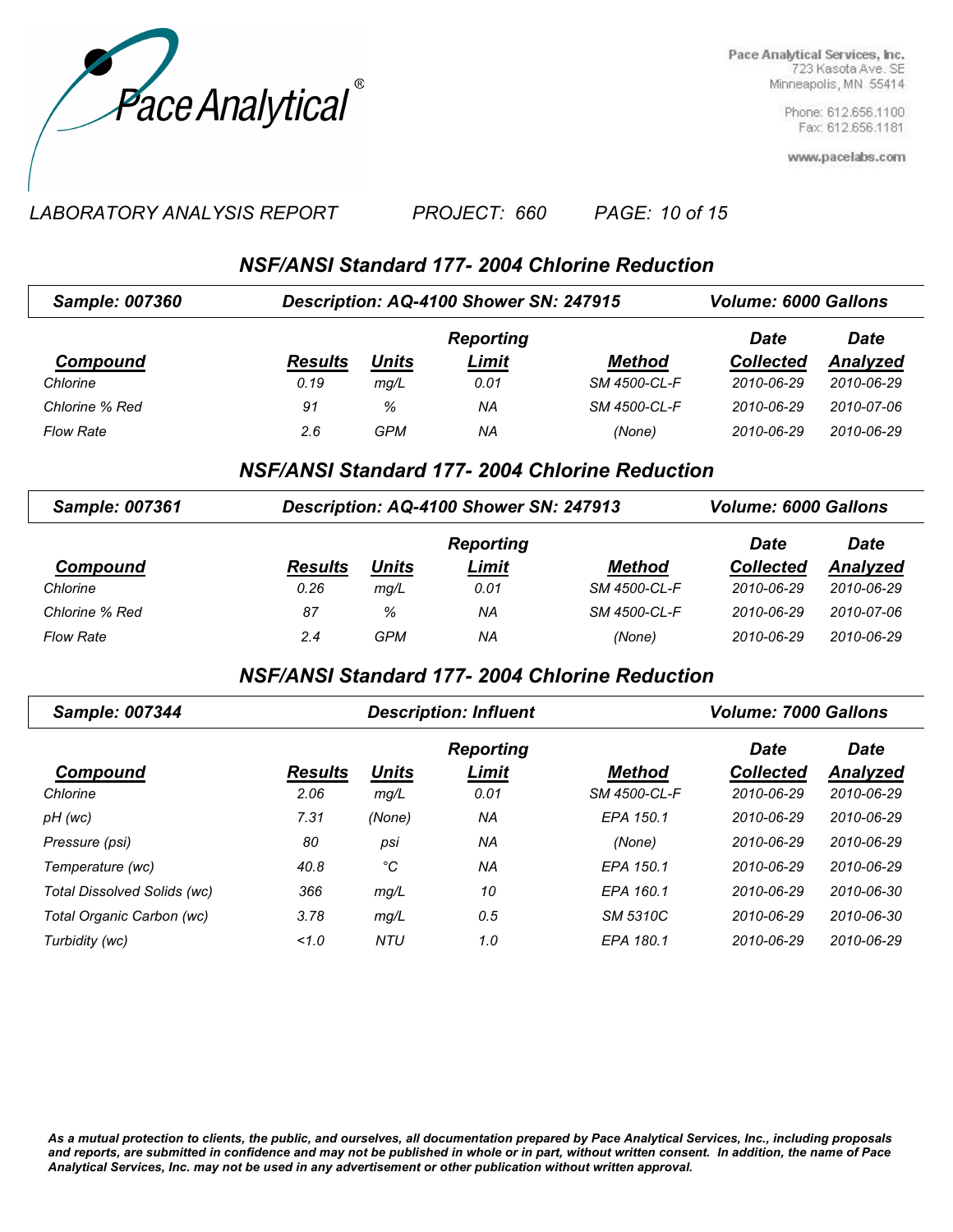

> Phone: 612.656.1100 Fax: 612.656.1181

www.pacelabs.com

#### *LABORATORY ANALYSIS REPORT PAGE: 10 of 15 PROJECT: 660*

## *NSF/ANSI Standard 177- 2004 Chlorine Reduction*

| Sample: 007360   | Description: AQ-4100 Shower SN: 247915 |              | <b>Volume: 6000 Gallons</b> |               |                  |            |
|------------------|----------------------------------------|--------------|-----------------------------|---------------|------------------|------------|
|                  |                                        |              | <b>Reporting</b>            |               | Date             | Date       |
| Compound         | <b>Results</b>                         | <u>Units</u> | <u>Limit</u>                | <b>Method</b> | <b>Collected</b> | Analyzed   |
| Chlorine         | 0.19                                   | mq/L         | 0.01                        | SM 4500-CL-F  | 2010-06-29       | 2010-06-29 |
| Chlorine % Red   | 91                                     | %            | ΝA                          | SM 4500-CL-F  | 2010-06-29       | 2010-07-06 |
| <b>Flow Rate</b> | 2.6                                    | GPM          | ΝA                          | (None)        | 2010-06-29       | 2010-06-29 |

#### *NSF/ANSI Standard 177- 2004 Chlorine Reduction*

| <b>Sample: 007361</b> | Description: AQ-4100 Shower SN: 247913 |              | <b>Volume: 6000 Gallons</b> |               |                  |            |
|-----------------------|----------------------------------------|--------------|-----------------------------|---------------|------------------|------------|
|                       |                                        |              | <b>Reporting</b>            |               | <b>Date</b>      | Date       |
| Compound              | <b>Results</b>                         | <b>Units</b> | Limit                       | <b>Method</b> | <b>Collected</b> | Analyzed   |
| Chlorine              | 0.26                                   | mq/L         | 0.01                        | SM 4500-CL-F  | 2010-06-29       | 2010-06-29 |
| Chlorine % Red        | 87                                     | %            | ΝA                          | SM 4500-CL-F  | 2010-06-29       | 2010-07-06 |
| <b>Flow Rate</b>      | 2.4                                    | GPM          | ΝA                          | (None)        | 2010-06-29       | 2010-06-29 |

### *NSF/ANSI Standard 177- 2004 Chlorine Reduction*

| <b>Sample: 007344</b>       |                | <b>Description: Influent</b> | <b>Volume: 7000 Gallons</b> |                 |                  |                 |
|-----------------------------|----------------|------------------------------|-----------------------------|-----------------|------------------|-----------------|
|                             |                |                              | <b>Reporting</b>            |                 | <b>Date</b>      | <b>Date</b>     |
| Compound                    | <b>Results</b> | <b>Units</b>                 | Limit                       | <b>Method</b>   | <b>Collected</b> | <b>Analyzed</b> |
| Chlorine                    | 2.06           | mg/L                         | 0.01                        | SM 4500-CL-F    | 2010-06-29       | 2010-06-29      |
| pH (wc)                     | 7.31           | (None)                       | NA                          | EPA 150.1       | 2010-06-29       | 2010-06-29      |
| Pressure (psi)              | 80             | psi                          | NA                          | (None)          | 2010-06-29       | 2010-06-29      |
| Temperature (wc)            | 40.8           | °C                           | NA                          | EPA 150.1       | 2010-06-29       | 2010-06-29      |
| Total Dissolved Solids (wc) | 366            | mg/L                         | 10                          | EPA 160.1       | 2010-06-29       | 2010-06-30      |
| Total Organic Carbon (wc)   | 3.78           | mg/L                         | 0.5                         | <b>SM 5310C</b> | 2010-06-29       | 2010-06-30      |
| Turbidity (wc)              | 1.0            | NTU                          | 1.0                         | EPA 180.1       | 2010-06-29       | 2010-06-29      |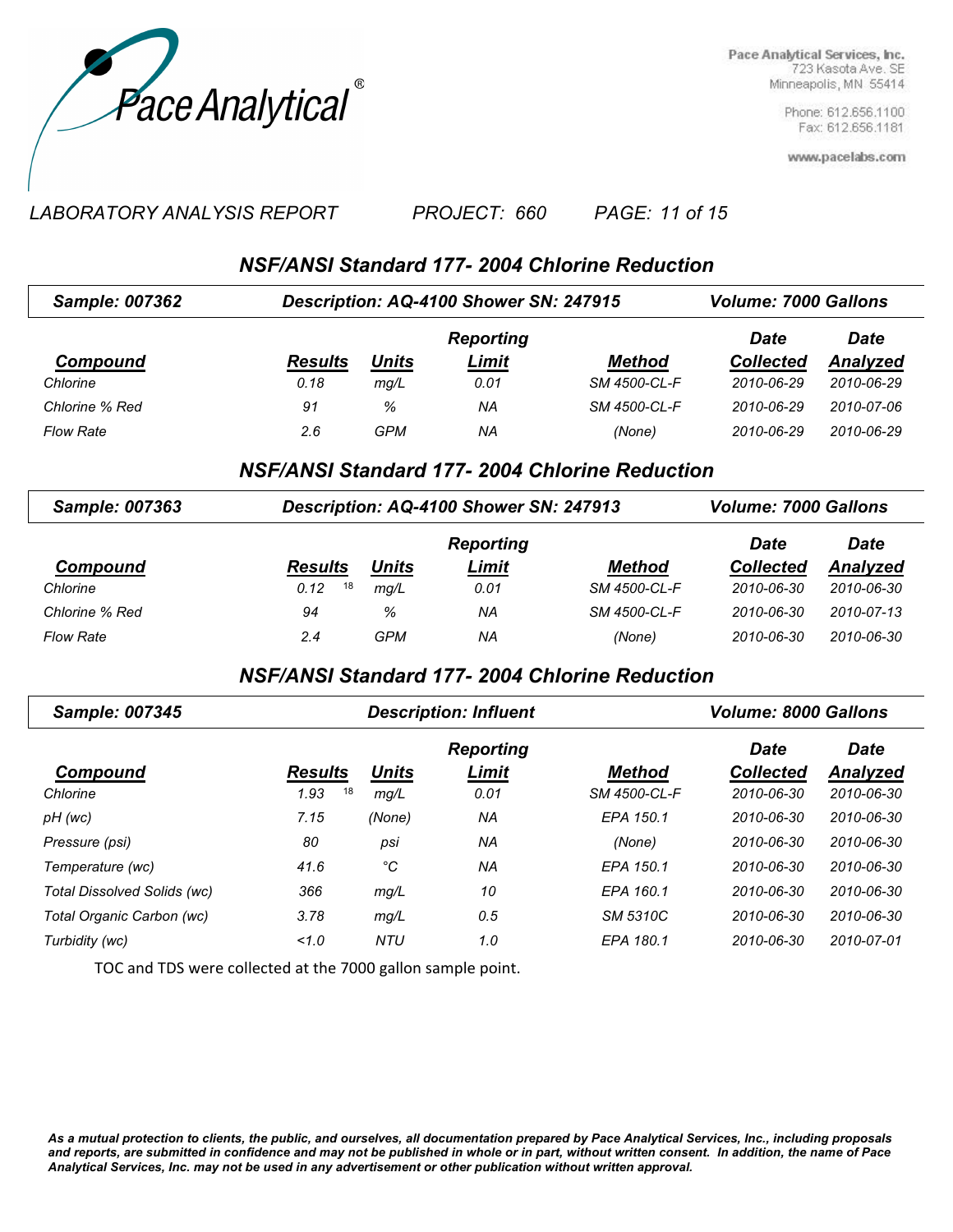

> Phone: 612.656.1100 Fax: 612.656.1181

www.pacelabs.com

#### *LABORATORY ANALYSIS REPORT PAGE: 11 of 15 PROJECT: 660*

## *NSF/ANSI Standard 177- 2004 Chlorine Reduction*

| <b>Sample: 007362</b> | Description: AQ-4100 Shower SN: 247915 |              | <b>Volume: 7000 Gallons</b> |               |                  |            |
|-----------------------|----------------------------------------|--------------|-----------------------------|---------------|------------------|------------|
|                       |                                        |              | <b>Reporting</b>            |               | <b>Date</b>      | Date       |
| Compound              | <b>Results</b>                         | <u>Units</u> | <u>Limit</u>                | <b>Method</b> | <b>Collected</b> | Analyzed   |
| Chlorine              | 0.18                                   | mq/L         | 0.01                        | SM 4500-CL-F  | 2010-06-29       | 2010-06-29 |
| Chlorine % Red        | 91                                     | %            | ΝA                          | SM 4500-CL-F  | 2010-06-29       | 2010-07-06 |
| <b>Flow Rate</b>      | 2.6                                    | GPM          | ΝA                          | (None)        | 2010-06-29       | 2010-06-29 |

### *NSF/ANSI Standard 177- 2004 Chlorine Reduction*

| Sample: 007363   | Description: AQ-4100 Shower SN: 247913 |       | <b>Volume: 7000 Gallons</b> |               |                  |             |
|------------------|----------------------------------------|-------|-----------------------------|---------------|------------------|-------------|
|                  |                                        |       | <b>Reporting</b>            |               | Date             | <b>Date</b> |
| Compound         | <b>Results</b>                         | Units | Limit                       | <b>Method</b> | <b>Collected</b> | Analyzed    |
| Chlorine         | 18<br>0.12                             | mg/L  | 0.01                        | SM 4500-CL-F  | 2010-06-30       | 2010-06-30  |
| Chlorine % Red   | 94                                     | %     | ΝA                          | SM 4500-CL-F  | 2010-06-30       | 2010-07-13  |
| <b>Flow Rate</b> | 2.4                                    | GPM   | ΝA                          | (None)        | 2010-06-30       | 2010-06-30  |

## *NSF/ANSI Standard 177- 2004 Chlorine Reduction*

| Sample: 007345              |                | <b>Description: Influent</b> | <b>Volume: 8000 Gallons</b> |                 |                  |                 |
|-----------------------------|----------------|------------------------------|-----------------------------|-----------------|------------------|-----------------|
|                             |                |                              | <b>Reporting</b>            |                 | <b>Date</b>      | <b>Date</b>     |
| Compound                    | <b>Results</b> | <b>Units</b>                 | Limit                       | <b>Method</b>   | <b>Collected</b> | <b>Analyzed</b> |
| Chlorine                    | 18<br>1.93     | mg/L                         | 0.01                        | SM 4500-CL-F    | 2010-06-30       | 2010-06-30      |
| pH (wc)                     | 7.15           | (None)                       | ΝA                          | EPA 150.1       | 2010-06-30       | 2010-06-30      |
| Pressure (psi)              | 80             | psi                          | ΝA                          | (None)          | 2010-06-30       | 2010-06-30      |
| Temperature (wc)            | 41.6           | °C                           | ΝA                          | EPA 150.1       | 2010-06-30       | 2010-06-30      |
| Total Dissolved Solids (wc) | 366            | mg/L                         | 10                          | EPA 160.1       | 2010-06-30       | 2010-06-30      |
| Total Organic Carbon (wc)   | 3.78           | mq/L                         | 0.5                         | <b>SM 5310C</b> | 2010-06-30       | 2010-06-30      |
| Turbidity (wc)              | 1.0            | NTU                          | 1.0                         | EPA 180.1       | 2010-06-30       | 2010-07-01      |

TOC and TDS were collected at the 7000 gallon sample point.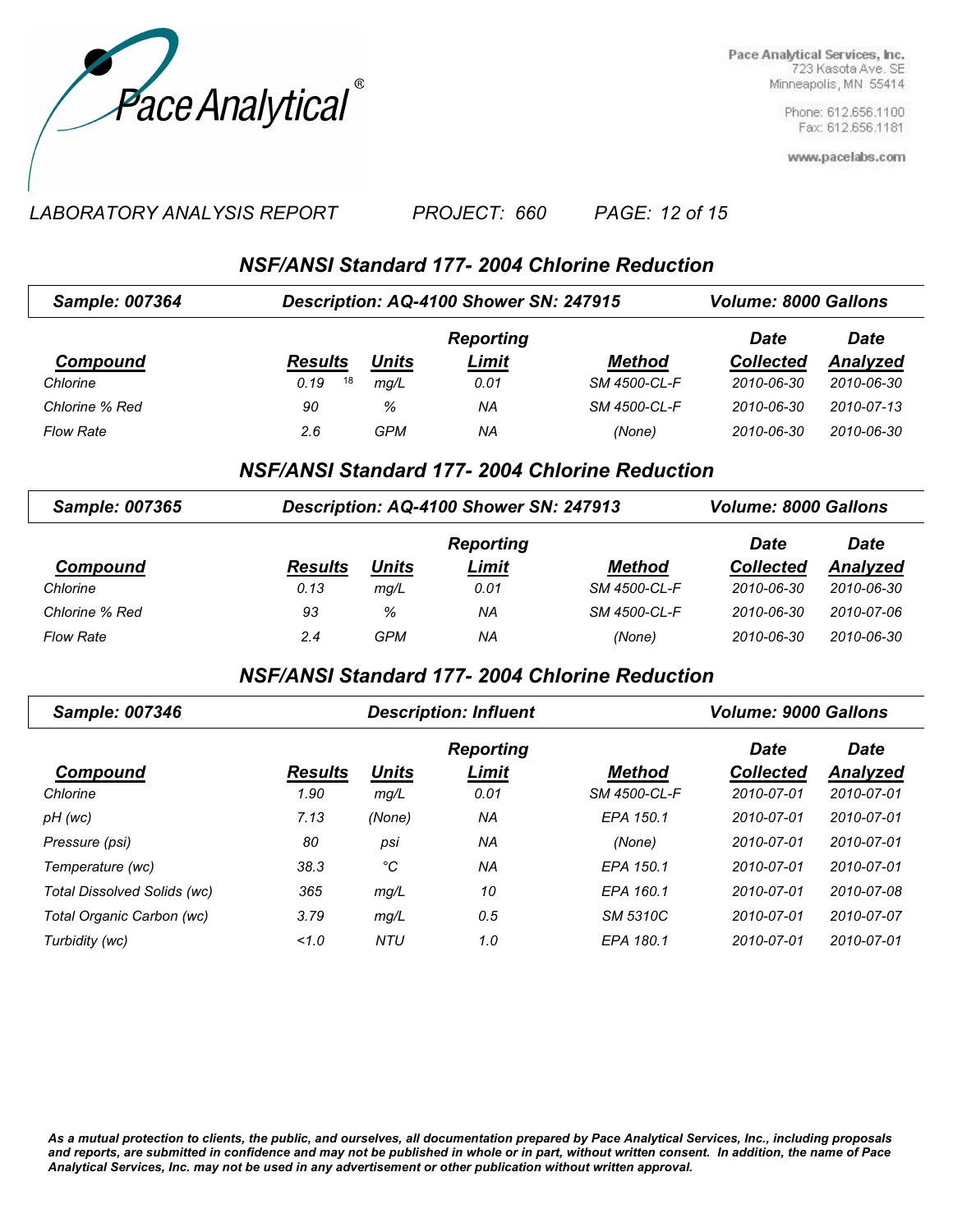

> Phone: 612.656.1100 Fax: 612.656.1181

www.pacelabs.com

#### *LABORATORY ANALYSIS REPORT PAGE: 12 of 15 PROJECT: 660*

*NSF/ANSI Standard 177- 2004 Chlorine Reduction*

| Sample: 007364   | Description: AQ-4100 Shower SN: 247915 |       | <b>Volume: 8000 Gallons</b> |               |                  |                 |
|------------------|----------------------------------------|-------|-----------------------------|---------------|------------------|-----------------|
|                  |                                        |       | <b>Reporting</b>            |               | <b>Date</b>      | Date            |
| Compound         | <b>Results</b>                         | Units | <u>Limit</u>                | <b>Method</b> | <b>Collected</b> | <b>Analyzed</b> |
| Chlorine         | 18<br>0.19                             | mq/L  | 0.01                        | SM 4500-CL-F  | 2010-06-30       | 2010-06-30      |
| Chlorine % Red   | 90                                     | %     | ΝA                          | SM 4500-CL-F  | 2010-06-30       | 2010-07-13      |
| <b>Flow Rate</b> | 2.6                                    | GPM   | ΝA                          | (None)        | 2010-06-30       | 2010-06-30      |

#### *NSF/ANSI Standard 177- 2004 Chlorine Reduction*

| <b>Sample: 007365</b> | Description: AQ-4100 Shower SN: 247913 |       | <b>Volume: 8000 Gallons</b> |              |                  |            |
|-----------------------|----------------------------------------|-------|-----------------------------|--------------|------------------|------------|
|                       |                                        |       | <b>Reporting</b>            |              | Date             | Date       |
| Compound              | <b>Results</b>                         | Units | Limit                       | Method       | <b>Collected</b> | Analyzed   |
| Chlorine              | 0.13                                   | mq/L  | 0.01                        | SM 4500-CL-F | 2010-06-30       | 2010-06-30 |
| Chlorine % Red        | 93                                     | %     | ΝA                          | SM 4500-CL-F | 2010-06-30       | 2010-07-06 |
| <b>Flow Rate</b>      | 2.4                                    | GPM   | ΝA                          | (None)       | 2010-06-30       | 2010-06-30 |

### *NSF/ANSI Standard 177- 2004 Chlorine Reduction*

| <b>Sample: 007346</b>       |                | <b>Description: Influent</b> | <b>Volume: 9000 Gallons</b> |               |                  |             |
|-----------------------------|----------------|------------------------------|-----------------------------|---------------|------------------|-------------|
|                             |                |                              | <b>Reporting</b>            |               | <b>Date</b>      | <b>Date</b> |
| Compound                    | <b>Results</b> | <b>Units</b>                 | Limit                       | <b>Method</b> | <b>Collected</b> | Analyzed    |
| Chlorine                    | 1.90           | mg/L                         | 0.01                        | SM 4500-CL-F  | 2010-07-01       | 2010-07-01  |
| pH (wc)                     | 7.13           | (None)                       | ΝA                          | EPA 150.1     | 2010-07-01       | 2010-07-01  |
| Pressure (psi)              | 80             | psi                          | ΝA                          | (None)        | 2010-07-01       | 2010-07-01  |
| Temperature (wc)            | 38.3           | °C                           | ΝA                          | EPA 150.1     | 2010-07-01       | 2010-07-01  |
| Total Dissolved Solids (wc) | 365            | mg/L                         | 10                          | EPA 160.1     | 2010-07-01       | 2010-07-08  |
| Total Organic Carbon (wc)   | 3.79           | mg/L                         | 0.5                         | SM 5310C      | 2010-07-01       | 2010-07-07  |
| Turbidity (wc)              | 1.0            | NTU                          | 1.0                         | EPA 180.1     | 2010-07-01       | 2010-07-01  |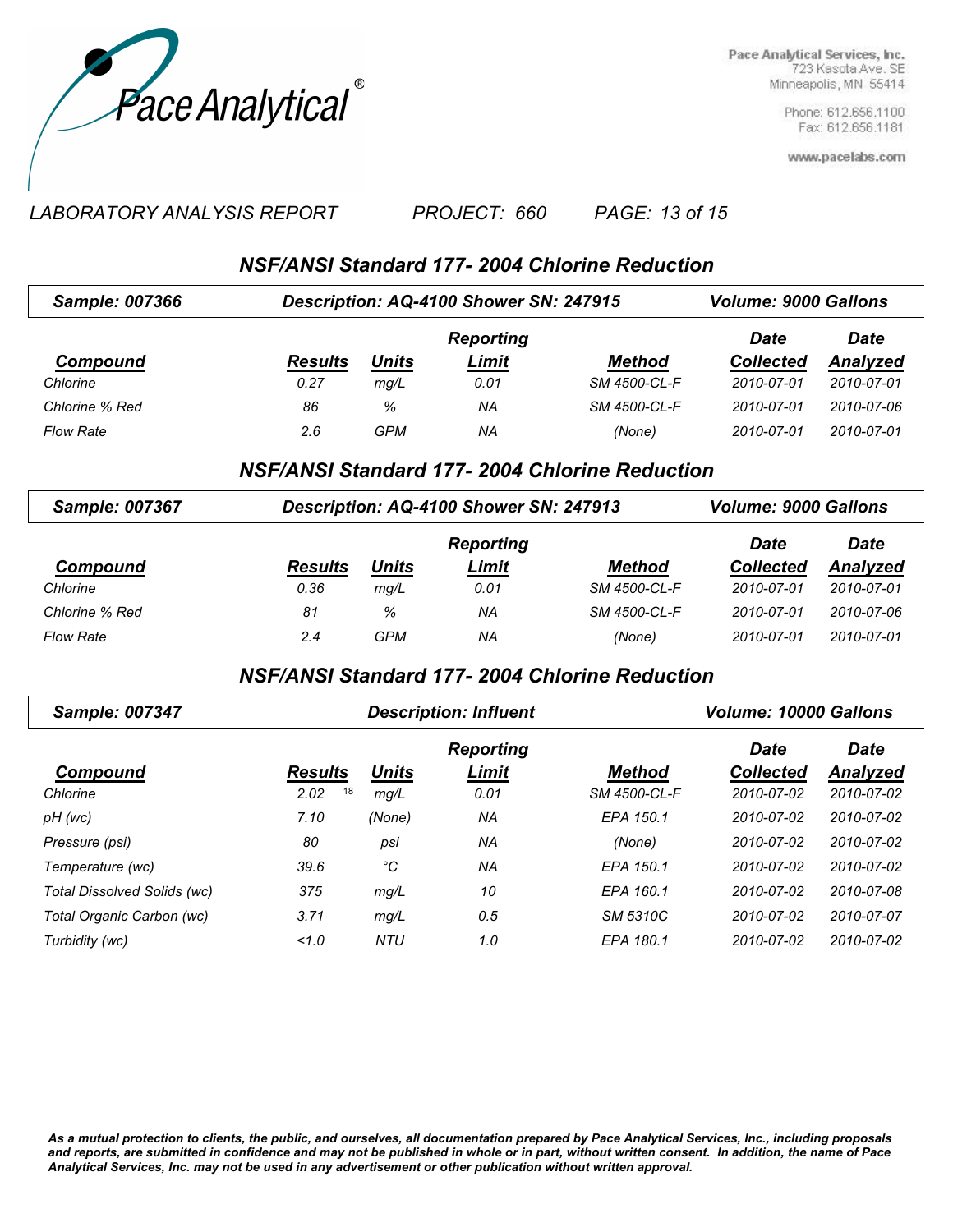

> Phone: 612.656.1100 Fax: 612.656.1181

www.pacelabs.com

#### *LABORATORY ANALYSIS REPORT PAGE: 13 of 15 PROJECT: 660*

## *NSF/ANSI Standard 177- 2004 Chlorine Reduction*

| <b>Sample: 007366</b> | Description: AQ-4100 Shower SN: 247915 |              | <b>Volume: 9000 Gallons</b> |               |                  |             |
|-----------------------|----------------------------------------|--------------|-----------------------------|---------------|------------------|-------------|
|                       |                                        |              | <b>Reporting</b>            |               | Date             | <b>Date</b> |
| Compound              | <b>Results</b>                         | <u>Units</u> | <u>Limit</u>                | <b>Method</b> | <b>Collected</b> | Analyzed    |
| Chlorine              | 0.27                                   | mq/L         | 0.01                        | SM 4500-CL-F  | 2010-07-01       | 2010-07-01  |
| Chlorine % Red        | 86                                     | %            | NA                          | SM 4500-CL-F  | 2010-07-01       | 2010-07-06  |
| <b>Flow Rate</b>      | 2.6                                    | GPM          | ΝA                          | (None)        | 2010-07-01       | 2010-07-01  |

#### *NSF/ANSI Standard 177- 2004 Chlorine Reduction*

| <b>Sample: 007367</b> | Description: AQ-4100 Shower SN: 247913 |              | <b>Volume: 9000 Gallons</b> |               |                  |                 |
|-----------------------|----------------------------------------|--------------|-----------------------------|---------------|------------------|-----------------|
|                       |                                        |              | <b>Reporting</b>            |               | Date             | <b>Date</b>     |
| Compound              | <b>Results</b>                         | <b>Units</b> | Limit                       | <b>Method</b> | <b>Collected</b> | <b>Analyzed</b> |
| Chlorine              | 0.36                                   | mq/L         | 0.01                        | SM 4500-CL-F  | 2010-07-01       | 2010-07-01      |
| Chlorine % Red        | 81                                     | %            | ΝA                          | SM 4500-CL-F  | 2010-07-01       | 2010-07-06      |
| <b>Flow Rate</b>      | 2.4                                    | GPM          | ΝA                          | (None)        | 2010-07-01       | 2010-07-01      |

### *NSF/ANSI Standard 177- 2004 Chlorine Reduction*

| Sample: 007347              |                | <b>Description: Influent</b> | <b>Volume: 10000 Gallons</b> |               |                  |             |
|-----------------------------|----------------|------------------------------|------------------------------|---------------|------------------|-------------|
|                             |                |                              | <b>Reporting</b>             |               | <b>Date</b>      | <b>Date</b> |
| Compound                    | <b>Results</b> | <u>Units</u>                 | <b>Limit</b>                 | <b>Method</b> | <b>Collected</b> | Analyzed    |
| Chlorine                    | 18<br>2.02     | mq/L                         | 0.01                         | SM 4500-CL-F  | 2010-07-02       | 2010-07-02  |
| pH (wc)                     | 7.10           | (None)                       | NA                           | EPA 150.1     | 2010-07-02       | 2010-07-02  |
| Pressure (psi)              | 80             | psi                          | ΝA                           | (None)        | 2010-07-02       | 2010-07-02  |
| Temperature (wc)            | 39.6           | °C                           | ΝA                           | EPA 150.1     | 2010-07-02       | 2010-07-02  |
| Total Dissolved Solids (wc) | 375            | mg/L                         | 10                           | EPA 160.1     | 2010-07-02       | 2010-07-08  |
| Total Organic Carbon (wc)   | 3.71           | mg/L                         | 0.5                          | SM 5310C      | 2010-07-02       | 2010-07-07  |
| Turbidity (wc)              | 1.0            | <b>NTU</b>                   | 1.0                          | EPA 180.1     | 2010-07-02       | 2010-07-02  |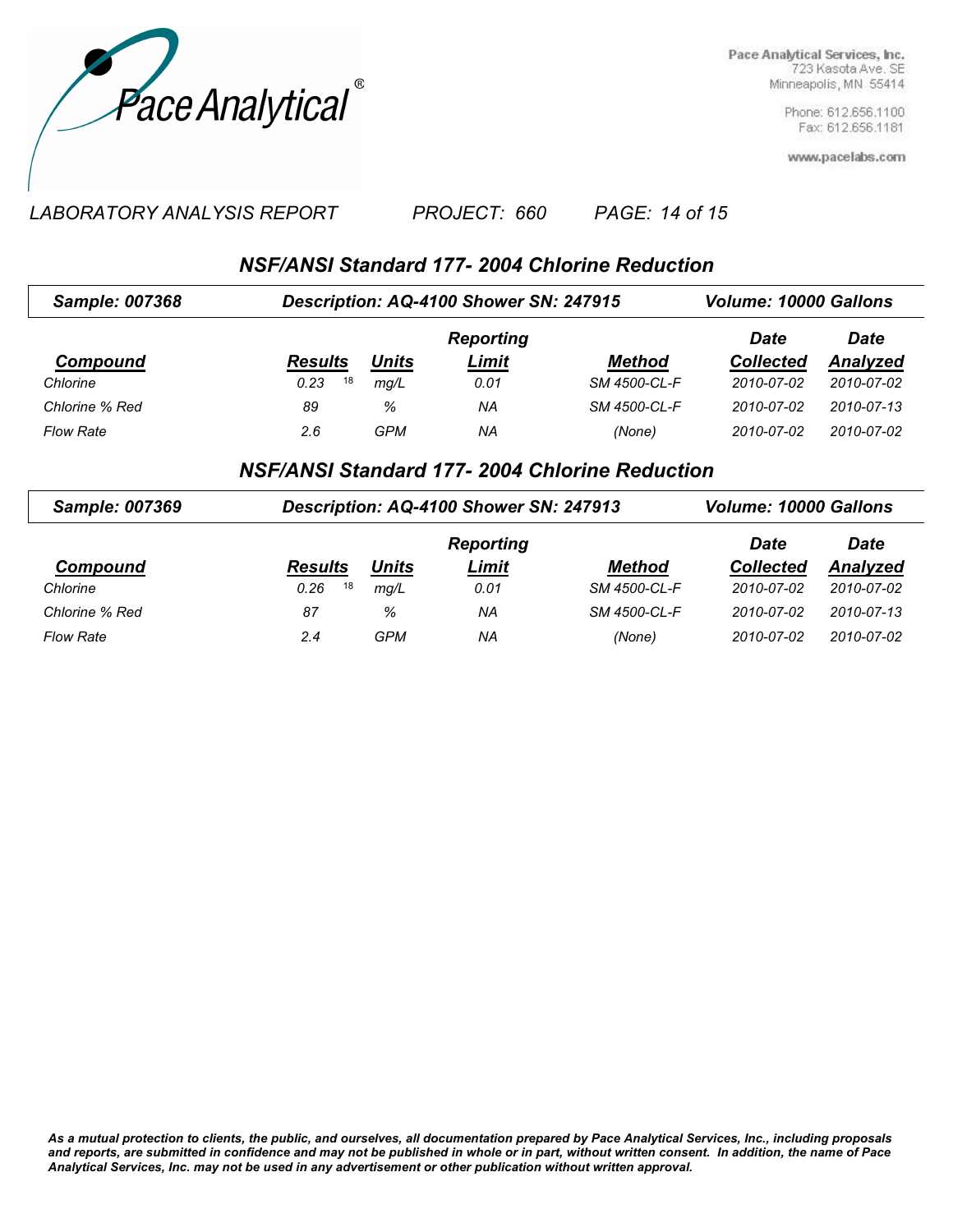

> Phone: 612.656.1100 Fax: 612.656.1181

www.pacelabs.com

#### *LABORATORY ANALYSIS REPORT PAGE: 14 of 15 PROJECT: 660*

# *NSF/ANSI Standard 177- 2004 Chlorine Reduction*

| <b>Sample: 007368</b> | Description: AQ-4100 Shower SN: 247915 |       | <b>Volume: 10000 Gallons</b> |               |                  |            |
|-----------------------|----------------------------------------|-------|------------------------------|---------------|------------------|------------|
|                       |                                        |       | <b>Reporting</b>             |               | Date             | Date       |
| Compound              | <b>Results</b>                         | Units | <b>Limit</b>                 | <b>Method</b> | <b>Collected</b> | Analyzed   |
| Chlorine              | 18<br>0.23                             | mq/L  | 0.01                         | SM 4500-CL-F  | 2010-07-02       | 2010-07-02 |
| Chlorine % Red        | 89                                     | %     | ΝA                           | SM 4500-CL-F  | 2010-07-02       | 2010-07-13 |
| <b>Flow Rate</b>      | 2.6                                    | GPM   | ΝA                           | (None)        | 2010-07-02       | 2010-07-02 |

#### *NSF/ANSI Standard 177- 2004 Chlorine Reduction*

| Sample: 007369   | Description: AQ-4100 Shower SN: 247913 |            | <b>Volume: 10000 Gallons</b> |               |                  |             |
|------------------|----------------------------------------|------------|------------------------------|---------------|------------------|-------------|
|                  |                                        |            | <b>Reporting</b>             |               | Date             | <b>Date</b> |
| Compound         | <b>Results</b>                         | Units      | <u>Limit</u>                 | <b>Method</b> | <b>Collected</b> | Analyzed    |
| Chlorine         | 18<br>0.26                             | mq/L       | 0.01                         | SM 4500-CL-F  | 2010-07-02       | 2010-07-02  |
| Chlorine % Red   | 87                                     | %          | ΝA                           | SM 4500-CL-F  | 2010-07-02       | 2010-07-13  |
| <b>Flow Rate</b> | 2.4                                    | <b>GPM</b> | ΝA                           | (None)        | 2010-07-02       | 2010-07-02  |